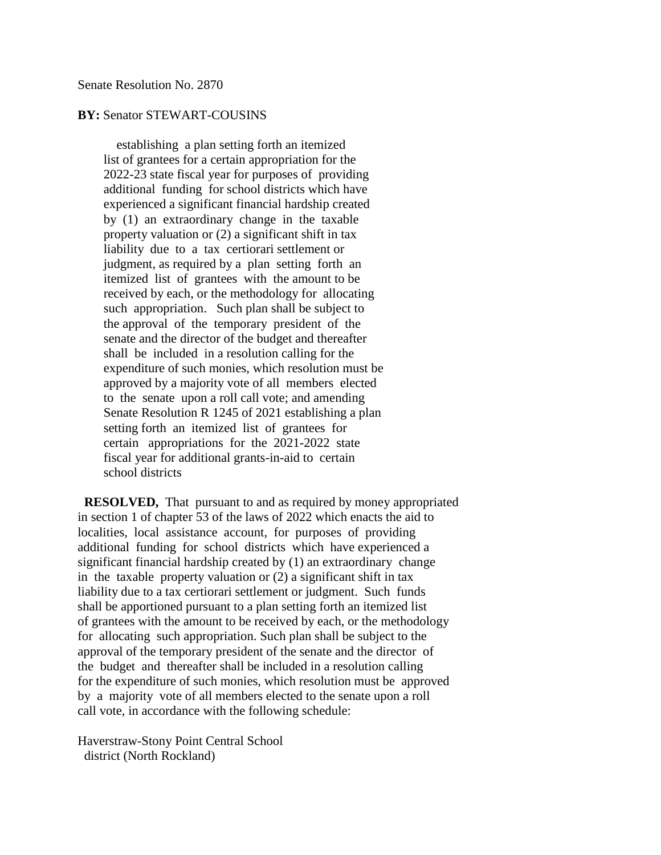## **BY:** Senator STEWART-COUSINS

 establishing a plan setting forth an itemized list of grantees for a certain appropriation for the 2022-23 state fiscal year for purposes of providing additional funding for school districts which have experienced a significant financial hardship created by (1) an extraordinary change in the taxable property valuation or (2) a significant shift in tax liability due to a tax certiorari settlement or judgment, as required by a plan setting forth an itemized list of grantees with the amount to be received by each, or the methodology for allocating such appropriation. Such plan shall be subject to the approval of the temporary president of the senate and the director of the budget and thereafter shall be included in a resolution calling for the expenditure of such monies, which resolution must be approved by a majority vote of all members elected to the senate upon a roll call vote; and amending Senate Resolution R 1245 of 2021 establishing a plan setting forth an itemized list of grantees for certain appropriations for the 2021-2022 state fiscal year for additional grants-in-aid to certain school districts

 **RESOLVED,** That pursuant to and as required by money appropriated in section 1 of chapter 53 of the laws of 2022 which enacts the aid to localities, local assistance account, for purposes of providing additional funding for school districts which have experienced a significant financial hardship created by (1) an extraordinary change in the taxable property valuation or (2) a significant shift in tax liability due to a tax certiorari settlement or judgment. Such funds shall be apportioned pursuant to a plan setting forth an itemized list of grantees with the amount to be received by each, or the methodology for allocating such appropriation. Such plan shall be subject to the approval of the temporary president of the senate and the director of the budget and thereafter shall be included in a resolution calling for the expenditure of such monies, which resolution must be approved by a majority vote of all members elected to the senate upon a roll call vote, in accordance with the following schedule:

Haverstraw-Stony Point Central School district (North Rockland)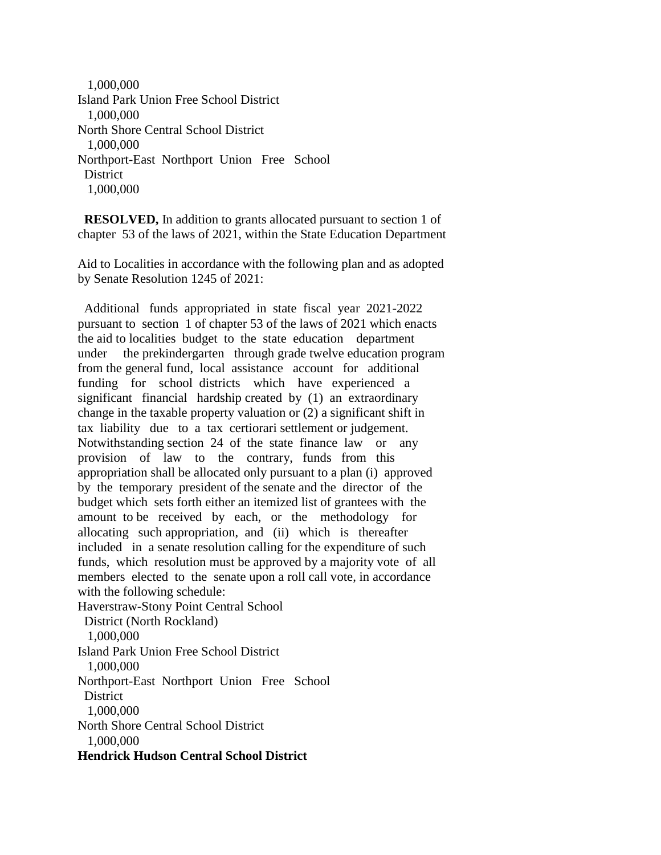1,000,000 Island Park Union Free School District 1,000,000 North Shore Central School District 1,000,000 Northport-East Northport Union Free School **District** 1,000,000

 **RESOLVED,** In addition to grants allocated pursuant to section 1 of chapter 53 of the laws of 2021, within the State Education Department

Aid to Localities in accordance with the following plan and as adopted by Senate Resolution 1245 of 2021:

 Additional funds appropriated in state fiscal year 2021-2022 pursuant to section 1 of chapter 53 of the laws of 2021 which enacts the aid to localities budget to the state education department under the prekindergarten through grade twelve education program from the general fund, local assistance account for additional funding for school districts which have experienced a significant financial hardship created by (1) an extraordinary change in the taxable property valuation or (2) a significant shift in tax liability due to a tax certiorari settlement or judgement. Notwithstanding section 24 of the state finance law or any provision of law to the contrary, funds from this appropriation shall be allocated only pursuant to a plan (i) approved by the temporary president of the senate and the director of the budget which sets forth either an itemized list of grantees with the amount to be received by each, or the methodology for allocating such appropriation, and (ii) which is thereafter included in a senate resolution calling for the expenditure of such funds, which resolution must be approved by a majority vote of all members elected to the senate upon a roll call vote, in accordance with the following schedule:

Haverstraw-Stony Point Central School

 District (North Rockland) 1,000,000 Island Park Union Free School District

1,000,000

Northport-East Northport Union Free School **District** 

1,000,000

North Shore Central School District

1,000,000

**Hendrick Hudson Central School District**